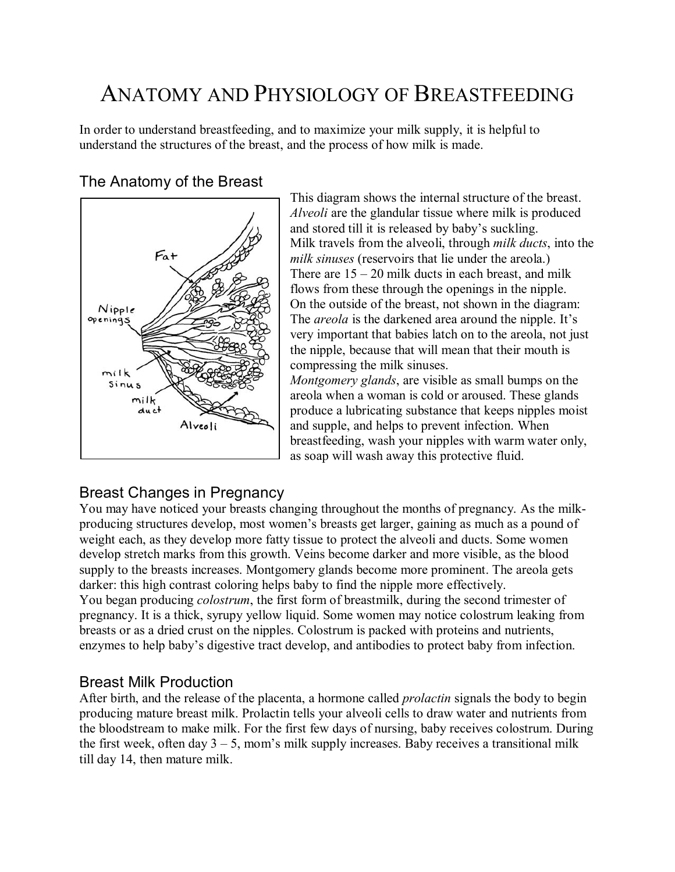# ANATOMY AND PHYSIOLOGY OF BREASTFEEDING

In order to understand breastfeeding, and to maximize your milk supply, it is helpful to understand the structures of the breast, and the process of how milk is made.

# The Anatomy of the Breast



This diagram shows the internal structure of the breast. *Alveoli* are the glandular tissue where milk is produced and stored till it is released by baby's suckling. Milk travels from the alveoli, through *milk ducts*, into the *milk sinuses* (reservoirs that lie under the areola.) There are  $15 - 20$  milk ducts in each breast, and milk flows from these through the openings in the nipple. On the outside of the breast, not shown in the diagram: The *areola* is the darkened area around the nipple. It's very important that babies latch on to the areola, not just the nipple, because that will mean that their mouth is compressing the milk sinuses.

*Montgomery glands*, are visible as small bumps on the areola when a woman is cold or aroused. These glands produce a lubricating substance that keeps nipples moist and supple, and helps to prevent infection. When breastfeeding, wash your nipples with warm water only, as soap will wash away this protective fluid.

# Breast Changes in Pregnancy

You may have noticed your breasts changing throughout the months of pregnancy. As the milkproducing structures develop, most women's breasts get larger, gaining as much as a pound of weight each, as they develop more fatty tissue to protect the alveoli and ducts. Some women develop stretch marks from this growth. Veins become darker and more visible, as the blood supply to the breasts increases. Montgomery glands become more prominent. The areola gets darker: this high contrast coloring helps baby to find the nipple more effectively. You began producing *colostrum*, the first form of breastmilk, during the second trimester of pregnancy. It is a thick, syrupy yellow liquid. Some women may notice colostrum leaking from breasts or as a dried crust on the nipples. Colostrum is packed with proteins and nutrients, enzymes to help baby's digestive tract develop, and antibodies to protect baby from infection.

#### Breast Milk Production

After birth, and the release of the placenta, a hormone called *prolactin* signals the body to begin producing mature breast milk. Prolactin tells your alveoli cells to draw water and nutrients from the bloodstream to make milk. For the first few days of nursing, baby receives colostrum. During the first week, often day  $3 - 5$ , mom's milk supply increases. Baby receives a transitional milk till day 14, then mature milk.